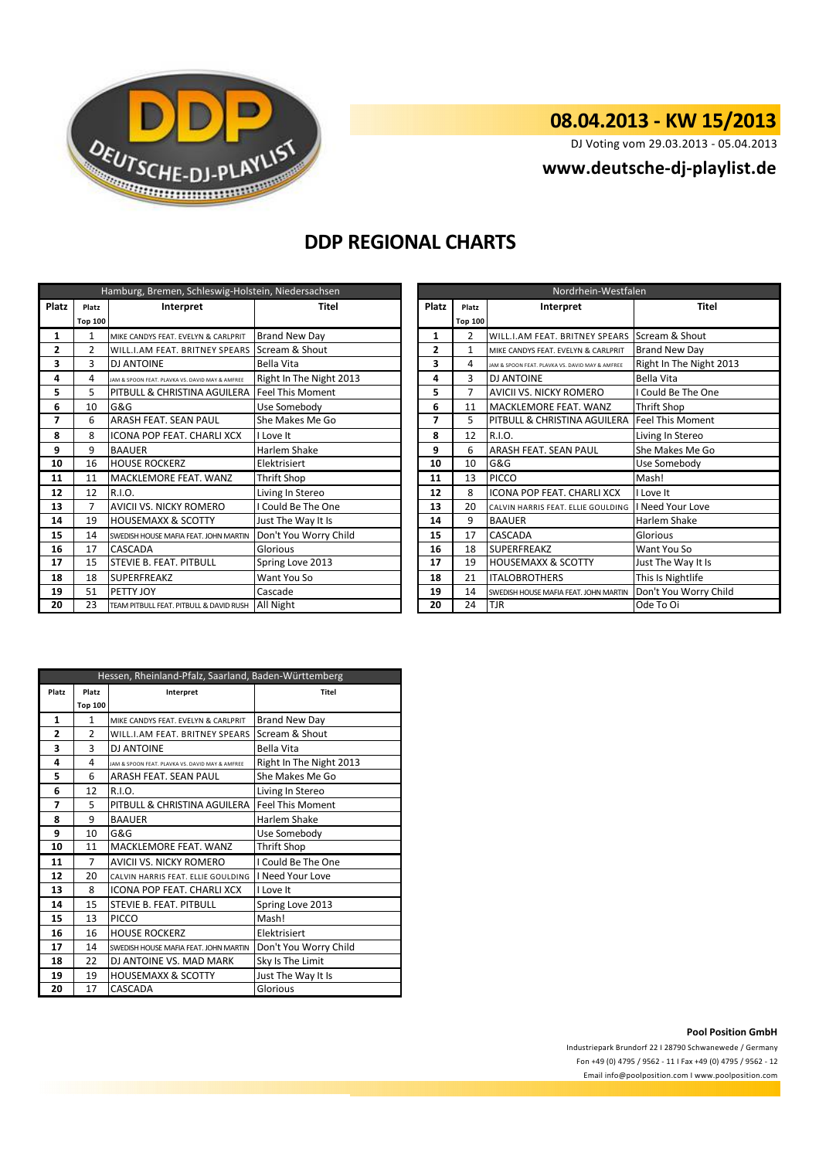

# **08.04.2013 - KW 15/2013**

DJ Voting vom 29.03.2013 - 05.04.2013

## **<www.deutsche-dj-playlist.de>**

## **DDP REGIONAL CHARTS**

| Hamburg, Bremen, Schleswig-Holstein, Niedersachsen |                |                                                   |                         |              | Nordrhein-Westfalen |  |                                                 |                         |
|----------------------------------------------------|----------------|---------------------------------------------------|-------------------------|--------------|---------------------|--|-------------------------------------------------|-------------------------|
| Platz                                              | Platz          | Interpret                                         | Titel                   | Platz        | Platz               |  | Interpret                                       | <b>Titel</b>            |
|                                                    | <b>Top 100</b> |                                                   |                         |              | <b>Top 100</b>      |  |                                                 |                         |
| $\mathbf{1}$                                       | 1              | MIKE CANDYS FEAT. EVELYN & CARLPRIT               | <b>Brand New Day</b>    | 1            | 2                   |  | <b>WILL.I.AM FEAT. BRITNEY SPEARS</b>           | Scream & Shout          |
| $\overline{2}$                                     | $\overline{a}$ | WILL.I.AM FEAT. BRITNEY SPEARS SCream & Shout     |                         | $\mathbf{2}$ | $\mathbf{1}$        |  | MIKE CANDYS FEAT. EVELYN & CARLPRIT             | <b>Brand New Day</b>    |
| 3                                                  | 3              | <b>DJ ANTOINE</b>                                 | Bella Vita              | 3            | 4                   |  | JAM & SPOON FEAT. PLAVKA VS. DAVID MAY & AMFREE | Right In The Night 2013 |
| 4                                                  | 4              | JAM & SPOON FEAT. PLAVKA VS. DAVID MAY & AMFREE   | Right In The Night 2013 | 4            | 3                   |  | <b>DJ ANTOINE</b>                               | Bella Vita              |
| 5                                                  | 5              | PITBULL & CHRISTINA AGUILERA   Feel This Moment   |                         | 5            | 7                   |  | <b>AVICII VS. NICKY ROMERO</b>                  | I Could Be The One      |
| 6                                                  | 10             | G&G                                               | Use Somebody            | 6            | 11                  |  | MACKLEMORE FEAT. WANZ                           | <b>Thrift Shop</b>      |
| 7                                                  | 6              | ARASH FEAT. SEAN PAUL                             | She Makes Me Go         | 7            | 5.                  |  | PITBULL & CHRISTINA AGUILERA                    | <b>Feel This Moment</b> |
| 8                                                  | 8              | <b>ICONA POP FEAT, CHARLI XCX</b>                 | I Love It               | 8            | 12                  |  | R.I.O.                                          | Living In Stereo        |
| 9                                                  | 9              | <b>BAAUER</b>                                     | Harlem Shake            | 9            | 6                   |  | <b>ARASH FEAT. SEAN PAUL</b>                    | She Makes Me Go         |
| 10                                                 | 16             | <b>HOUSE ROCKERZ</b>                              | Elektrisiert            | 10           | 10                  |  | G&G                                             | Use Somebody            |
| 11                                                 | 11             | MACKLEMORE FEAT. WANZ                             | <b>Thrift Shop</b>      | 11           | 13                  |  | PICCO                                           | Mash!                   |
| 12                                                 | 12             | R.I.O.                                            | Living In Stereo        | 12           | 8                   |  | <b>ICONA POP FEAT, CHARLI XCX</b>               | I Love It               |
| 13                                                 | 7              | AVICII VS. NICKY ROMERO                           | I Could Be The One      | 13           | 20                  |  | CALVIN HARRIS FEAT. ELLIE GOULDING              | I Need Your Love        |
| 14                                                 | 19             | <b>HOUSEMAXX &amp; SCOTTY</b>                     | Just The Way It Is      | 14           | 9                   |  | <b>BAAUER</b>                                   | <b>Harlem Shake</b>     |
| 15                                                 | 14             | SWEDISH HOUSE MAFIA FEAT. JOHN MARTIN             | Don't You Worry Child   | 15           | 17                  |  | CASCADA                                         | Glorious                |
| 16                                                 | 17             | CASCADA                                           | Glorious                | 16           | 18                  |  | <b>SUPERFREAKZ</b>                              | Want You So             |
| 17                                                 | 15             | <b>STEVIE B. FEAT. PITBULL</b>                    | Spring Love 2013        | 17           | 19                  |  | <b>HOUSEMAXX &amp; SCOTTY</b>                   | Just The Way It Is      |
| 18                                                 | 18             | <b>SUPERFREAKZ</b>                                | Want You So             | 18           | 21                  |  | <b>ITALOBROTHERS</b>                            | This Is Nightlife       |
| 19                                                 | 51             | PETTY JOY                                         | Cascade                 | 19           | 14                  |  | SWEDISH HOUSE MAFIA FEAT. JOHN MARTIN           | Don't You Worry Child   |
| 20                                                 | 23             | TEAM PITBULL FEAT. PITBULL & DAVID RUSH All Night |                         | 20           | 24                  |  | <b>TJR</b>                                      | Ode To Oi               |

| Nordrhein-Westfalen |                |                                                 |                         |  |  |
|---------------------|----------------|-------------------------------------------------|-------------------------|--|--|
| <b>Platz</b>        | Platz          | Interpret                                       | <b>Titel</b>            |  |  |
|                     | <b>Top 100</b> |                                                 |                         |  |  |
| 1                   | $\overline{2}$ | WILL.I.AM FEAT. BRITNEY SPEARS                  | Scream & Shout          |  |  |
| $\overline{2}$      | 1              | MIKE CANDYS FEAT. EVELYN & CARLPRIT             | <b>Brand New Day</b>    |  |  |
| 3                   | 4              | JAM & SPOON FEAT, PLAVKA VS, DAVID MAY & AMFREE | Right In The Night 2013 |  |  |
| 4                   | 3              | <b>DJ ANTOINE</b>                               | <b>Bella Vita</b>       |  |  |
| 5                   | $\overline{7}$ | AVICII VS. NICKY ROMERO                         | I Could Be The One      |  |  |
| 6                   | 11             | MACKLEMORE FEAT. WANZ                           | <b>Thrift Shop</b>      |  |  |
| 7                   | 5              | PITBULL & CHRISTINA AGUILERA                    | <b>Feel This Moment</b> |  |  |
| 8                   | 12             | R.I.O.                                          | Living In Stereo        |  |  |
| 9                   | 6              | ARASH FEAT. SEAN PAUL                           | She Makes Me Go         |  |  |
| 10                  | 10             | G&G                                             | Use Somebody            |  |  |
| 11                  | 13             | <b>PICCO</b>                                    | Mash!                   |  |  |
| 12                  | 8              | ICONA POP FEAT. CHARLI XCX                      | I Love It               |  |  |
| 13                  | 20             | CALVIN HARRIS FEAT. ELLIE GOULDING              | I Need Your Love        |  |  |
| 14                  | 9              | <b>BAAUER</b>                                   | Harlem Shake            |  |  |
| 15                  | 17             | CASCADA                                         | Glorious                |  |  |
| 16                  | 18             | <b>SUPERFREAKZ</b>                              | Want You So             |  |  |
| 17                  | 19             | <b>HOUSEMAXX &amp; SCOTTY</b>                   | Just The Way It Is      |  |  |
| 18                  | 21             | <b>ITALOBROTHERS</b>                            | This Is Nightlife       |  |  |
| 19                  | 14             | SWEDISH HOUSE MAFIA FEAT. JOHN MARTIN           | Don't You Worry Child   |  |  |
| 20                  | 24             | TJR                                             | Ode To Oi               |  |  |

| Hessen, Rheinland-Pfalz, Saarland, Baden-Württemberg |                |                                                 |                         |  |  |
|------------------------------------------------------|----------------|-------------------------------------------------|-------------------------|--|--|
| Platz                                                | Platz          | Interpret                                       | Titel                   |  |  |
|                                                      | <b>Top 100</b> |                                                 |                         |  |  |
| 1                                                    | 1              | MIKE CANDYS FEAT. EVELYN & CARLPRIT             | <b>Brand New Day</b>    |  |  |
| 2                                                    | $\mathfrak z$  | WILL.I.AM FEAT. BRITNEY SPEARS                  | Scream & Shout          |  |  |
| 3                                                    | 3              | <b>DJ ANTOINE</b>                               | Bella Vita              |  |  |
| 4                                                    | 4              | JAM & SPOON FEAT. PLAVKA VS. DAVID MAY & AMFREE | Right In The Night 2013 |  |  |
| 5                                                    | 6              | ARASH FEAT. SEAN PAUL                           | She Makes Me Go         |  |  |
| 6                                                    | 12             | R.I.O.                                          | Living In Stereo        |  |  |
| 7                                                    | 5              | PITBULL & CHRISTINA AGUILERA                    | <b>Feel This Moment</b> |  |  |
| 8                                                    | 9              | <b>BAAUER</b>                                   | Harlem Shake            |  |  |
| 9                                                    | 10             | G&G                                             | Use Somebody            |  |  |
| 10                                                   | 11             | MACKLEMORE FEAT, WANZ                           | <b>Thrift Shop</b>      |  |  |
| 11                                                   | $\overline{7}$ | <b>AVICII VS. NICKY ROMERO</b>                  | I Could Be The One      |  |  |
| 12                                                   | 20             | CALVIN HARRIS FEAT. ELLIE GOULDING              | I Need Your Love        |  |  |
| 13                                                   | 8              | <b>ICONA POP FEAT. CHARLI XCX</b>               | I Love It               |  |  |
| 14                                                   | 15             | <b>STEVIE B. FEAT. PITBULL</b>                  | Spring Love 2013        |  |  |
| 15                                                   | 13             | PICCO                                           | Mash!                   |  |  |
| 16                                                   | 16             | <b>HOUSE ROCKERZ</b>                            | Elektrisiert            |  |  |
| 17                                                   | 14             | SWEDISH HOUSE MAFIA FEAT. JOHN MARTIN           | Don't You Worry Child   |  |  |
| 18                                                   | 22             | DJ ANTOINE VS. MAD MARK                         | Sky Is The Limit        |  |  |
| 19                                                   | 19             | <b>HOUSEMAXX &amp; SCOTTY</b>                   | Just The Way It Is      |  |  |
| 20                                                   | 17             | CASCADA                                         | Glorious                |  |  |

#### **Pool Position GmbH**

Industriepark Brundorf 22 I 28790 Schwanewede / Germany Fon +49 (0) 4795 / 9562 - 11 I Fax +49 (0) 4795 / 9562 - 12 <Email info@poolposition.com I www.poolposition.com>